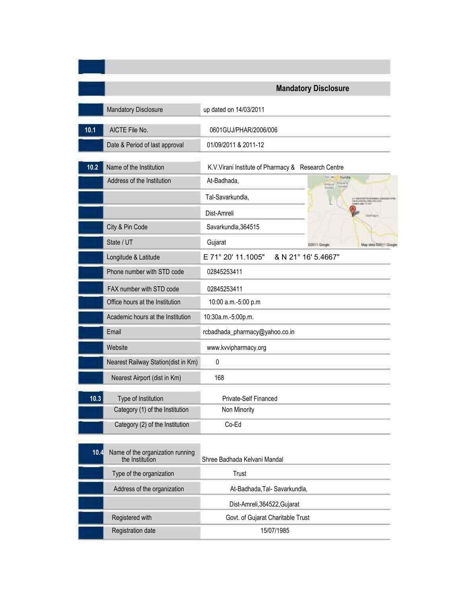|      |                                                     | <b>Mandatory Disclosure</b>                                   |
|------|-----------------------------------------------------|---------------------------------------------------------------|
|      | Mandatory Disclosure                                | up dated on 14/03/2011                                        |
| 10.1 | AICTE File No.                                      | 0601GUJ/PHAR/2006/006                                         |
|      | Date & Period of last approval                      | 01/09/2011 & 2011-12                                          |
| 10.2 | Name of the Institution                             | K.V.Virani Institute of Pharmacy & Research Centre            |
|      | Address of the Institution                          | Sociative:<br>Kandla<br>At-Badhada,<br><b>Mayer</b><br>Artore |
|      |                                                     | tions<br>Tal-Savarkundla,                                     |
|      |                                                     | Dist-Amreli                                                   |
|      | City & Pin Code                                     | Savarkundla, 364515                                           |
|      | State / UT                                          | Gujarat<br>02011 Google                                       |
|      | Longitude & Latitude                                | E 71° 20' 11.1005"<br>& N 21° 16' 5.4667"                     |
|      | Phone number with STD code                          | 02845253411                                                   |
|      | FAX number with STD code                            | 02845253411                                                   |
|      | Office hours at the Institution                     | 10:00 a.m.-5:00 p.m                                           |
|      | Academic hours at the Institution                   | 10:30a.m.-5:00p.m.                                            |
|      | Email                                               | rcbadhada_pharmacy@yahoo.co.in                                |
|      | Website                                             | www.kvvipharmacy.org                                          |
|      | Nearest Railway Station(dist in Km)                 | 0                                                             |
|      | Nearest Airport (dist in Km)                        | 168                                                           |
| 10.3 | Type of Institution                                 | Private-Self Financed                                         |
|      | Category (1) of the Institution                     | Non Minority                                                  |
|      | Category (2) of the Institution                     | Co-Ed                                                         |
| 10.4 | Name of the organization running<br>the Institution | Shree Badhada Kelvani Mandal                                  |
|      | Type of the organization                            | Trust                                                         |
|      | Address of the organization                         | At-Badhada, Tal- Savarkundla,                                 |
|      |                                                     | Dist-Amreli, 364522, Gujarat                                  |
|      | Registered with                                     | Govt. of Gujarat Charitable Trust                             |
|      | Registration date                                   | 15/07/1985                                                    |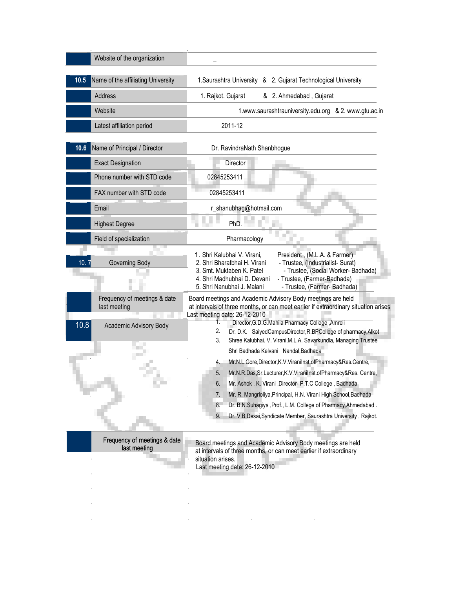| Website of the organization                  |                                                                                                                                                                                                                                                                                                                                                                                                      |
|----------------------------------------------|------------------------------------------------------------------------------------------------------------------------------------------------------------------------------------------------------------------------------------------------------------------------------------------------------------------------------------------------------------------------------------------------------|
| Name of the affiliating University<br>10.5   | 1. Saurashtra University & 2. Gujarat Technological University                                                                                                                                                                                                                                                                                                                                       |
| Address                                      | 1. Rajkot. Gujarat<br>& 2. Ahmedabad, Gujarat                                                                                                                                                                                                                                                                                                                                                        |
| Website                                      | 1.www.saurashtrauniversity.edu.org & 2. www.gtu.ac.in                                                                                                                                                                                                                                                                                                                                                |
| Latest affiliation period                    | 2011-12                                                                                                                                                                                                                                                                                                                                                                                              |
| Name of Principal / Director<br>10.6         | Dr. RavindraNath Shanbhogue                                                                                                                                                                                                                                                                                                                                                                          |
| <b>Exact Designation</b>                     | Director                                                                                                                                                                                                                                                                                                                                                                                             |
| Phone number with STD code                   | 02845253411                                                                                                                                                                                                                                                                                                                                                                                          |
| FAX number with STD code                     | 02845253411                                                                                                                                                                                                                                                                                                                                                                                          |
| Email                                        | r_shanubhag@hotmail.com                                                                                                                                                                                                                                                                                                                                                                              |
| <b>Highest Degree</b>                        | PhD.                                                                                                                                                                                                                                                                                                                                                                                                 |
| Field of specialization                      | Pharmacology                                                                                                                                                                                                                                                                                                                                                                                         |
| 10.<br>Governing Body                        | 1. Shri Kalubhai V. Virani,<br>President, (M.L.A. & Farmer)<br>2. Shri Bharatbhai H. Virani<br>- Trustee, (Industrialist- Surat)<br>3. Smt. Muktaben K. Patel<br>- Trustee, (Social Worker- Badhada)<br>4. Shri Madhubhai D. Devani<br>- Trustee, (Farmer-Badhada)<br>- Trustee, (Farmer- Badhada)<br>5. Shri Nanubhai J. Malani                                                                     |
| Frequency of meetings & date<br>last meeting | Board meetings and Academic Advisory Body meetings are held<br>at intervals of three months, or can meet earlier if extraordinary situation arises<br>Last meeting date: 26-12-2010                                                                                                                                                                                                                  |
| 10.8<br>Academic Advisory Body               | Director, G.D.G.Mahila Pharmacy College, Amreli<br>2.<br>Dr. D.K. SaiyedCampusDirector, R.BPCollege of pharmacy, Alkot<br>Shree Kalubhai. V. Virani, M.L.A. Savarkundla, Managing Trustee<br>3.                                                                                                                                                                                                      |
|                                              | Shri Badhada Kelvani Nandal, Badhada<br>Mr.N.L.Gore,Director,K.V.ViraniInst.ofPharmacy&Res.Centre,<br>4.<br>Mr.N.R.Das, Sr.Lecturer, K.V.Viranilnst.ofPharmacy&Res. Centre,<br>5.<br>Mr. Ashok . K. Virani , Director- P.T.C College, Badhada<br>6.<br>Mr. R. Mangrioliya, Principal, H.N. Virani High School, Badhada<br>7.<br>8.<br>Dr. B.N.Suhagiya , Prof., L.M. College of Pharmacy, Ahmedabad. |
| Frequency of meetings & date<br>last meeting | Dr. V.B.Desai, Syndicate Member, Saurashtra University, Rajkot.<br>9.<br>Board meetings and Academic Advisory Body meetings are held<br>at intervals of three months, or can meet earlier if extraordinary                                                                                                                                                                                           |

Last meeting date: 26-12-2010

l,

à,

 $\mathcal{L}^{\text{max}}$ 

 $\mathcal{L}^{\text{max}}$ 

 $\hat{\boldsymbol{\beta}}$ 

 $\mathcal{L}^{(1)}$ 

J.

l,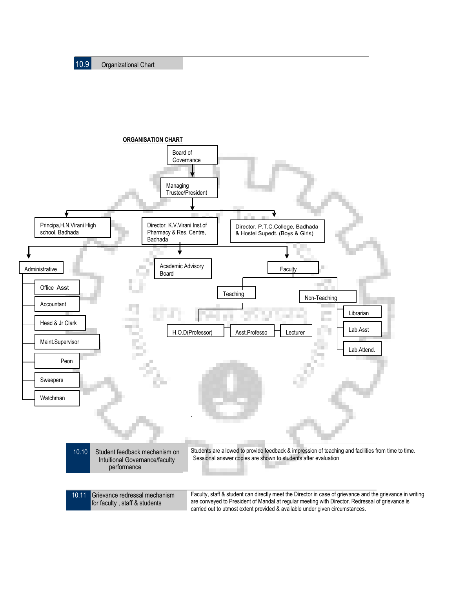

are conveyed to President of Mandal at regular meeting with Director. Redressal of grievance is carried out to utmost extent provided & available under given circumstances.

l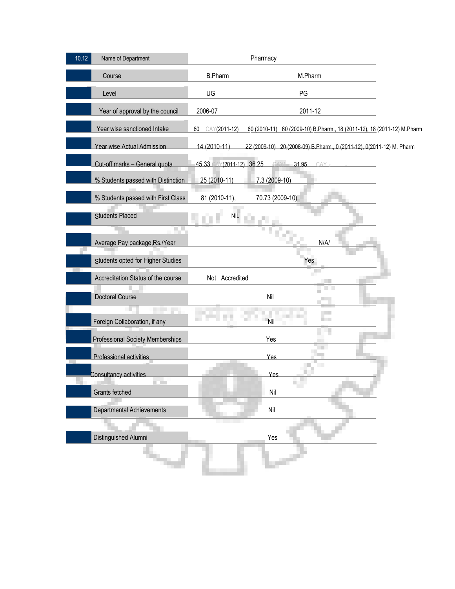| 10.12<br>Name of Department                    |                          | Pharmacy                                                               |
|------------------------------------------------|--------------------------|------------------------------------------------------------------------|
| Course                                         | <b>B.Pharm</b>           | M.Pharm                                                                |
| Level                                          | UG                       | PG                                                                     |
| Year of approval by the council                | 2006-07                  | 2011-12                                                                |
| Year wise sanctioned Intake                    | CAY(2011-12)<br>60       | 60 (2010-11) 60 (2009-10) B.Pharm., 18 (2011-12), 18 (2011-12) M.Pharm |
| Year wise Actual Admission                     | 14 (2010-11)             | 22 (2009-10) 20 (2008-09) B.Pharm., 0 (2011-12), 0(2011-12) M. Pharm   |
| Cut-off marks - General quota                  | 45.33 AY(2011-12), 36.25 | 31.95                                                                  |
| % Students passed with Distinction             | 25 (2010-11)             | 7.3 (2009-10)                                                          |
| % Students passed with First Class             | 81 (2010-11),            | 70.73 (2009-10)                                                        |
| Students Placed                                | <b>NIL</b>               |                                                                        |
| <b>The Co</b><br>Average Pay package, Rs./Year |                          | N/A/                                                                   |
| Students opted for Higher Studies              |                          | Yes                                                                    |
| Accreditation Status of the course             | Not Accredited           |                                                                        |
| <b>Doctoral Course</b>                         |                          | Nil                                                                    |
| Foreign Collaboration, if any                  |                          | <b>Nil</b>                                                             |
| <b>Professional Society Memberships</b>        |                          | Yes                                                                    |
| Professional activities                        |                          | Yes                                                                    |
| Consultancy activities                         |                          | Yes                                                                    |
| <b>COM</b><br>Grants fetched                   |                          | Nil                                                                    |
| Departmental Achievements                      |                          | $\mathsf{Nil}$                                                         |
| Distinguished Alumni                           |                          | Yes                                                                    |
|                                                |                          |                                                                        |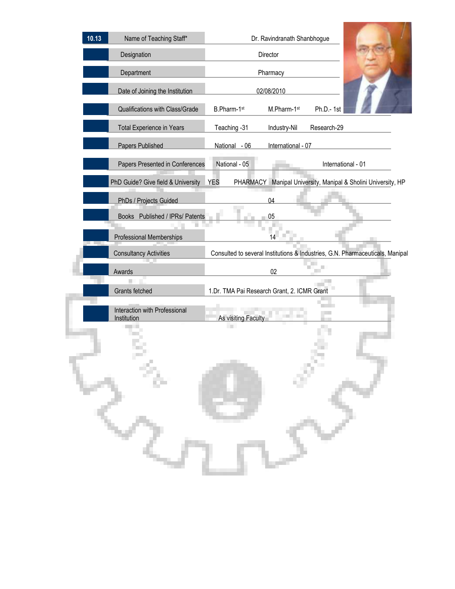| 10.13 | Name of Teaching Staff*                      | Dr. Ravindranath Shanbhogue                                                   |                    |                                                      |  |  |
|-------|----------------------------------------------|-------------------------------------------------------------------------------|--------------------|------------------------------------------------------|--|--|
|       | Designation                                  |                                                                               | Director           |                                                      |  |  |
|       | Department                                   |                                                                               | Pharmacy           |                                                      |  |  |
|       | Date of Joining the Institution              |                                                                               | 02/08/2010         |                                                      |  |  |
|       | Qualifications with Class/Grade              | B.Pharm-1st                                                                   | M.Pharm-1st        | Ph.D.-1st                                            |  |  |
|       | Total Experience in Years                    | Teaching - 31                                                                 | Industry-Nil       | Research-29                                          |  |  |
|       | Papers Published                             | National - 06                                                                 | International - 07 |                                                      |  |  |
|       | Papers Presented in Conferences              | National - 05                                                                 |                    | International - 01                                   |  |  |
|       | PhD Guide? Give field & University           | <b>YES</b><br><b>PHARMACY</b>                                                 |                    | Manipal University, Manipal & Sholini University, HP |  |  |
|       | PhDs / Projects Guided                       |                                                                               | 04                 |                                                      |  |  |
|       | Books Published / IPRs/ Patents              |                                                                               | 05                 |                                                      |  |  |
|       | Professional Memberships                     |                                                                               | 14                 |                                                      |  |  |
|       | <b>Consultancy Activities</b>                | Consulted to several Institutions & Industries, G.N. Pharmaceuticals, Manipal |                    |                                                      |  |  |
|       | Awards                                       |                                                                               | 02                 |                                                      |  |  |
|       | Grants fetched                               | 1.Dr. TMA Pai Research Grant, 2. ICMR Grant                                   |                    |                                                      |  |  |
|       | Interaction with Professional<br>Institution | As visiting Faculty<br><b>TIME</b>                                            |                    |                                                      |  |  |
|       |                                              |                                                                               |                    |                                                      |  |  |
|       | Ģ.                                           |                                                                               |                    |                                                      |  |  |
|       |                                              |                                                                               |                    |                                                      |  |  |
|       |                                              |                                                                               |                    |                                                      |  |  |
|       |                                              |                                                                               |                    |                                                      |  |  |
|       |                                              |                                                                               |                    |                                                      |  |  |

**Contract Contract Contract Contract**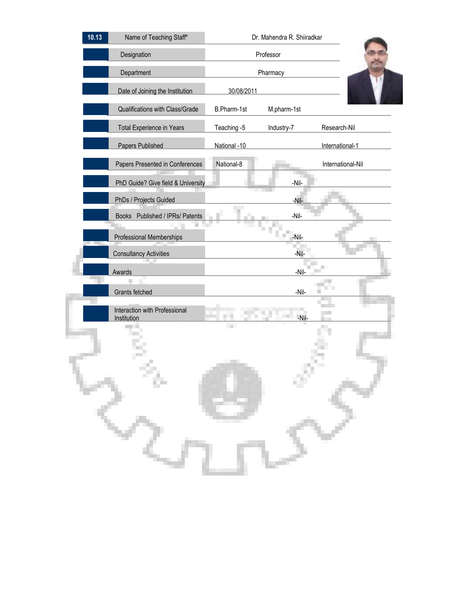| 10.13 | Name of Teaching Staff*                      | Dr. Mahendra R. Shiiradkar |             |                   |  |  |
|-------|----------------------------------------------|----------------------------|-------------|-------------------|--|--|
|       | Designation                                  |                            | Professor   |                   |  |  |
|       | Department                                   |                            | Pharmacy    |                   |  |  |
|       | Date of Joining the Institution              | 30/08/2011                 |             |                   |  |  |
|       | Qualifications with Class/Grade              | B.Pharm-1st                | M.pharm-1st |                   |  |  |
|       | <b>Total Experience in Years</b>             | Teaching -5                | Industry-7  | Research-Nil      |  |  |
|       | <b>Papers Published</b>                      | National -10               |             | International-1   |  |  |
|       | Papers Presented in Conferences              | National-8                 |             | International-Nil |  |  |
|       | PhD Guide? Give field & University           |                            | -Nil-       |                   |  |  |
|       | PhDs / Projects Guided                       |                            | -Nil-       |                   |  |  |
|       | Books Published / IPRs/ Patents              |                            | -Nil-       |                   |  |  |
|       | Professional Memberships                     |                            | -Nil-       |                   |  |  |
|       | <b>Consultancy Activities</b>                |                            | -Nil-       |                   |  |  |
|       | Awards                                       |                            | -Nil-       |                   |  |  |
|       | Grants fetched                               |                            | -Nil-       |                   |  |  |
|       | Interaction with Professional<br>Institution | n Ti                       | -Nil-       |                   |  |  |
|       |                                              |                            |             |                   |  |  |
|       |                                              |                            |             |                   |  |  |
|       |                                              |                            |             |                   |  |  |
|       |                                              |                            |             |                   |  |  |
|       |                                              |                            |             |                   |  |  |
|       |                                              |                            |             |                   |  |  |
|       |                                              |                            |             |                   |  |  |
|       |                                              |                            |             |                   |  |  |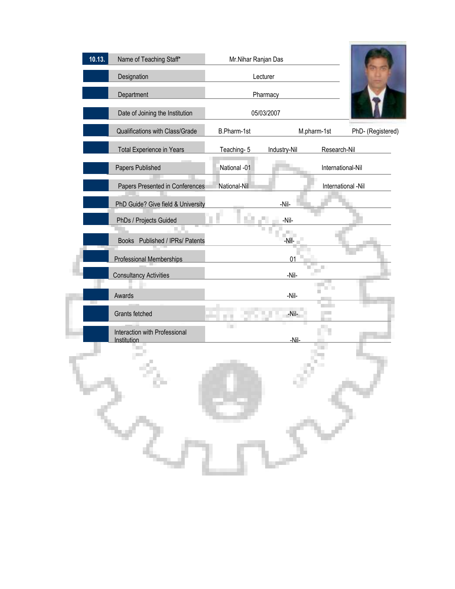| 10.13. | Name of Teaching Staff*            | Mr.Nihar Ranjan Das |              |                    |                   |
|--------|------------------------------------|---------------------|--------------|--------------------|-------------------|
|        | Designation                        | Lecturer            |              |                    |                   |
|        | Department                         |                     | Pharmacy     |                    |                   |
|        | Date of Joining the Institution    |                     | 05/03/2007   |                    |                   |
|        | Qualifications with Class/Grade    | B.Pharm-1st         |              | M.pharm-1st        | PhD- (Registered) |
|        | <b>Total Experience in Years</b>   | Teaching-5          | Industry-Nil | Research-Nil       |                   |
|        | Papers Published                   | National -01        |              | International-Nil  |                   |
|        | Papers Presented in Conferences    | National-Nil        |              | International -Nil |                   |
|        | PhD Guide? Give field & University |                     | -Nil-        |                    |                   |
|        | PhDs / Projects Guided             |                     | -Nil-        |                    |                   |
|        | Books Published / IPRs/ Patents    |                     | -Nil-        |                    |                   |
|        | <b>Professional Memberships</b>    |                     | 01           |                    |                   |
|        | <b>Consultancy Activities</b>      |                     | -Nil-        |                    |                   |
|        | Awards                             |                     | -Nil-        |                    |                   |
|        | Grants fetched                     |                     | -Nil-        |                    |                   |
|        | Interaction with Professional      | <b>Time</b>         | -Nil-        |                    |                   |
|        | Institution                        |                     |              |                    |                   |
|        |                                    |                     |              |                    |                   |
|        |                                    |                     |              |                    |                   |
|        |                                    |                     |              |                    |                   |
|        |                                    |                     |              |                    |                   |
|        |                                    |                     |              |                    |                   |
|        |                                    |                     |              |                    |                   |
|        |                                    |                     |              |                    |                   |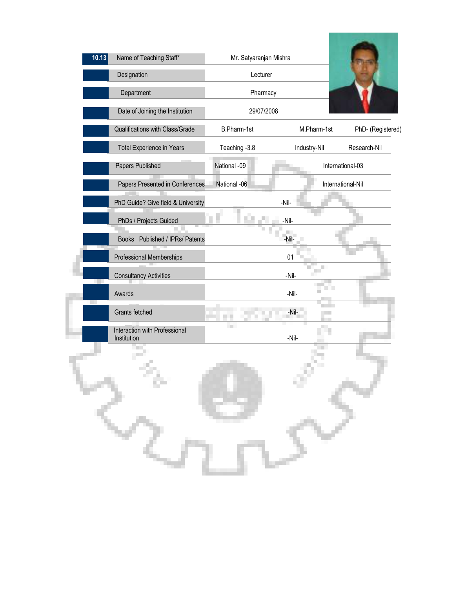| 10.13 | Name of Teaching Staff*                      | Mr. Satyaranjan Mishra |              |                   |
|-------|----------------------------------------------|------------------------|--------------|-------------------|
|       | Designation                                  | Lecturer               |              |                   |
|       | Department                                   | Pharmacy               |              |                   |
|       | Date of Joining the Institution              | 29/07/2008             |              |                   |
|       | Qualifications with Class/Grade              | B.Pharm-1st            | M.Pharm-1st  | PhD- (Registered) |
|       | Total Experience in Years                    | Teaching -3.8          | Industry-Nil | Research-Nil      |
|       | Papers Published                             | National -09           |              | International-03  |
|       | Papers Presented in Conferences              | National -06           |              | International-Nil |
|       | PhD Guide? Give field & University           |                        | $-Nil-$      |                   |
|       | PhDs / Projects Guided                       |                        | -Nil-        |                   |
|       | Books Published / IPRs/ Patents              |                        | -Nil-        |                   |
|       | Professional Memberships                     |                        | 01           |                   |
|       | <b>Consultancy Activities</b>                |                        | -Nil-        |                   |
|       | Awards                                       |                        | -Nil-        |                   |
|       | Grants fetched                               |                        | -Nil-        |                   |
|       | Interaction with Professional<br>Institution | <b>COL</b>             | -Nil-        |                   |
|       |                                              |                        |              |                   |
| つ     | ٥                                            |                        |              |                   |
|       |                                              |                        |              |                   |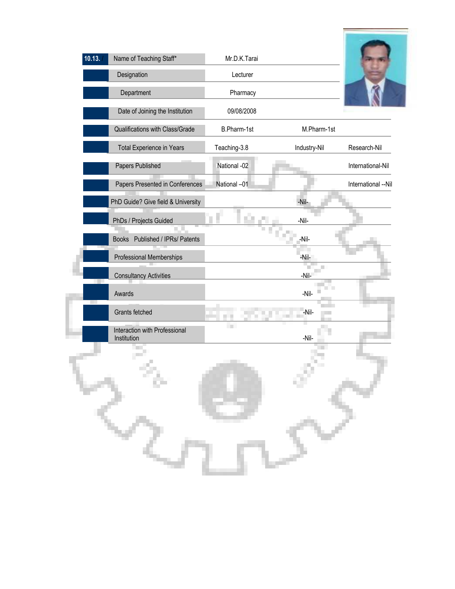| 10.13. | Name of Teaching Staff*            | Mr.D.K.Tarai |                                           |                     |
|--------|------------------------------------|--------------|-------------------------------------------|---------------------|
|        | Designation                        | Lecturer     |                                           |                     |
|        | Department                         | Pharmacy     |                                           |                     |
|        | Date of Joining the Institution    | 09/08/2008   |                                           |                     |
|        | Qualifications with Class/Grade    | B.Pharm-1st  | M.Pharm-1st                               |                     |
|        | Total Experience in Years          | Teaching-3.8 | Industry-Nil                              | Research-Nil        |
|        | Papers Published                   | National -02 |                                           | International-Nil   |
|        | Papers Presented in Conferences    | National -01 |                                           | International --Nil |
|        | PhD Guide? Give field & University |              | -Nil-                                     |                     |
|        | PhDs / Projects Guided             |              | -Nil-                                     |                     |
|        | Books Published / IPRs/ Patents    |              | -Nil-                                     |                     |
|        | Professional Memberships           |              | -Nil-                                     |                     |
|        | <b>Consultancy Activities</b>      |              | €<br>$\mathcal{L}_{\mathcal{A}}$<br>-Nil- |                     |
|        | Awards                             |              | -Nil-                                     |                     |
|        | Grants fetched                     |              | -Nil-                                     |                     |
|        | Interaction with Professional      | <b>TELE</b>  |                                           |                     |
|        | Institution                        |              | -Nil-                                     |                     |
|        |                                    |              |                                           |                     |
|        |                                    |              |                                           |                     |
|        | Ģ,                                 |              |                                           |                     |
|        |                                    |              |                                           |                     |
|        |                                    |              |                                           |                     |
|        |                                    |              |                                           |                     |
|        |                                    |              |                                           |                     |
|        |                                    |              |                                           |                     |
|        |                                    |              |                                           |                     |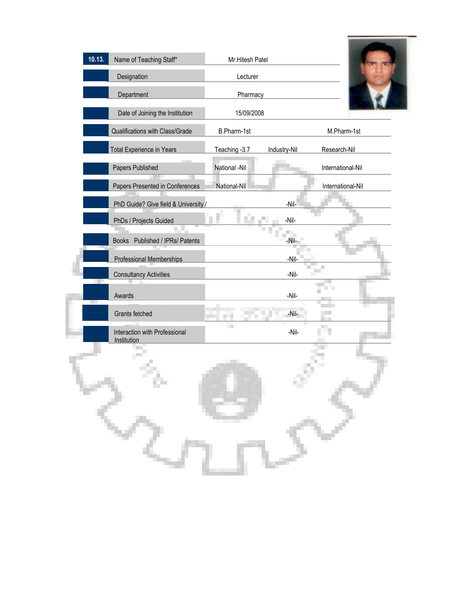| 10.13. | Name of Teaching Staff*                      | Mr.Hitesh Patel |                 |                   |
|--------|----------------------------------------------|-----------------|-----------------|-------------------|
|        | Designation                                  | Lecturer        |                 |                   |
|        | Department                                   | Pharmacy        |                 |                   |
|        | Date of Joining the Institution              | 15/09/2008      |                 |                   |
|        | Qualifications with Class/Grade              | B.Pharm-1st     |                 | M.Pharm-1st       |
|        | <b>Total Experience in Years</b>             | Teaching - 3.7  | Industry-Nil    | Research-Nil      |
|        | Papers Published                             | National -Nil   |                 | International-Nil |
|        | Papers Presented in Conferences              | National-Nil    |                 | International-Nil |
|        | PhD Guide? Give field & University           |                 | -Nil-           |                   |
|        | PhDs / Projects Guided                       | ЦÙ.             | -Nil-           |                   |
|        | Books Published / IPRs/ Patents              |                 | $\Box$<br>-Nil- |                   |
|        | Professional Memberships                     |                 | $-Nil-$         |                   |
|        | <b>Consultancy Activities</b>                |                 | -Nil-           |                   |
|        | Awards                                       |                 | -Nil-           |                   |
|        | Grants fetched                               | n a             | -Nil-           |                   |
|        | Interaction with Professional<br>Institution | <b>COL</b>      | -Nil-           |                   |
|        |                                              |                 |                 |                   |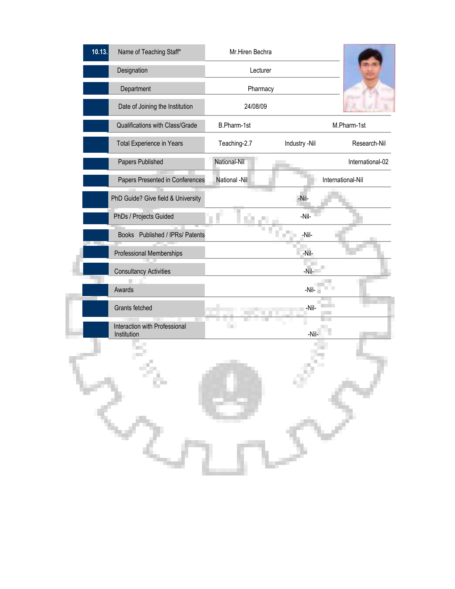| 10.13. | Name of Teaching Staff*                      | Mr.Hiren Bechra   |               |                   |
|--------|----------------------------------------------|-------------------|---------------|-------------------|
|        | Designation                                  | Lecturer          |               |                   |
|        | Department                                   | Pharmacy          |               |                   |
|        | Date of Joining the Institution              | 24/08/09          |               |                   |
|        | Qualifications with Class/Grade              | B.Pharm-1st       |               | M.Pharm-1st       |
|        | Total Experience in Years                    | Teaching-2.7      | Industry -Nil | Research-Nil      |
|        | Papers Published                             | National-Nil      |               | International-02  |
|        | Papers Presented in Conferences              | National -Nil     |               | International-Nil |
|        | PhD Guide? Give field & University           |                   | -Nil-         |                   |
|        | PhDs / Projects Guided                       | n.                | -Nil-         |                   |
|        | Books Published / IPRs/ Patents              |                   | -Nil-         |                   |
|        | Professional Memberships                     |                   | -Nil-         |                   |
|        | <b>Consultancy Activities</b>                |                   | -Nil-         |                   |
|        | Awards                                       |                   | -Nil-         |                   |
|        | Grants fetched                               |                   | -Nil-         |                   |
|        | Interaction with Professional<br>Institution | <b>TELEVISION</b> | -Nil-         |                   |
|        |                                              |                   |               |                   |
|        |                                              |                   |               |                   |
|        | ¢                                            |                   |               |                   |
|        |                                              |                   |               |                   |
|        |                                              |                   |               |                   |
|        |                                              |                   |               |                   |
|        |                                              |                   |               |                   |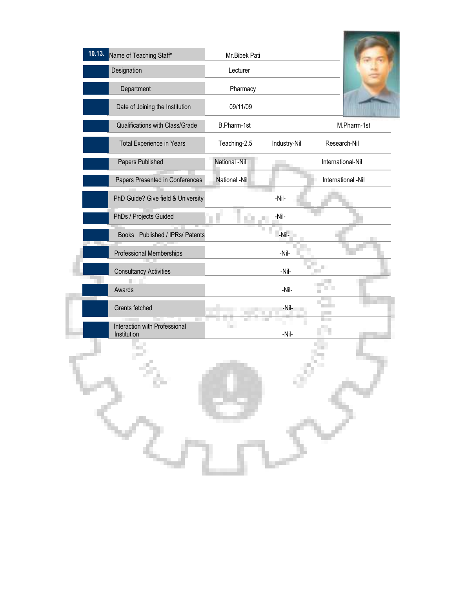| 10.13.<br>Name of Teaching Staff*            | Mr.Bibek Pati     |              |                    |
|----------------------------------------------|-------------------|--------------|--------------------|
| Designation                                  | Lecturer          |              |                    |
| Department                                   | Pharmacy          |              |                    |
| Date of Joining the Institution              | 09/11/09          |              |                    |
| Qualifications with Class/Grade              | B.Pharm-1st       |              | M.Pharm-1st        |
| Total Experience in Years                    | Teaching-2.5      | Industry-Nil | Research-Nil       |
| Papers Published                             | National -Nil     |              | International-Nil  |
| Papers Presented in Conferences              | National -Nil     |              | International -Nil |
| PhD Guide? Give field & University           |                   | -Nil-        |                    |
| PhDs / Projects Guided                       | T.                | -Nil-        |                    |
| Books Published / IPRs/ Patents              |                   | -Nil-        |                    |
| Professional Memberships                     |                   | -Nil-        |                    |
| <b>Consultancy Activities</b>                |                   | -Nil-        |                    |
| Awards                                       |                   | -Nil-        |                    |
| Grants fetched                               |                   | -Nil-        |                    |
| Interaction with Professional<br>Institution | <b>TELEVISION</b> | -Nil-        |                    |
|                                              |                   |              |                    |
|                                              |                   |              |                    |
| ò.                                           |                   |              |                    |
|                                              |                   |              |                    |
|                                              |                   |              |                    |
|                                              |                   |              |                    |
|                                              |                   |              |                    |
|                                              |                   |              |                    |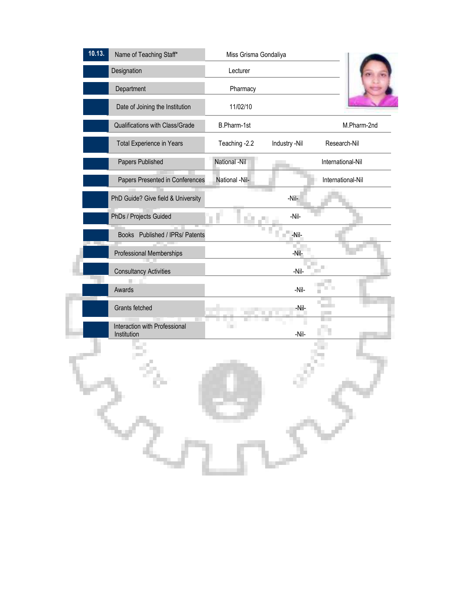| 10.13. | Name of Teaching Staff*                      | Miss Grisma Gondaliya |               |                   |
|--------|----------------------------------------------|-----------------------|---------------|-------------------|
|        | Designation                                  | Lecturer              |               |                   |
|        | Department                                   | Pharmacy              |               |                   |
|        | Date of Joining the Institution              | 11/02/10              |               |                   |
|        | Qualifications with Class/Grade              | B.Pharm-1st           |               | M.Pharm-2nd       |
|        | Total Experience in Years                    | Teaching -2.2         | Industry -Nil | Research-Nil      |
|        | Papers Published                             | National -Nil         |               | International-Nil |
|        | Papers Presented in Conferences              | National -Nil-        |               | International-Nil |
|        | PhD Guide? Give field & University           |                       | -Nil-         |                   |
|        | PhDs / Projects Guided                       |                       | -Nil-         |                   |
|        | Books Published / IPRs/ Patents              |                       | -Nil-         |                   |
|        | Professional Memberships                     |                       | -Nil-         |                   |
|        | <b>Consultancy Activities</b>                |                       | -Nil-         |                   |
|        | Awards                                       |                       | -Nil-         |                   |
|        | Grants fetched                               |                       | -Nil-         |                   |
|        | Interaction with Professional<br>Institution | <b>Tara</b>           | -Nil-         |                   |
|        |                                              |                       |               |                   |
|        |                                              |                       |               |                   |
|        |                                              |                       |               |                   |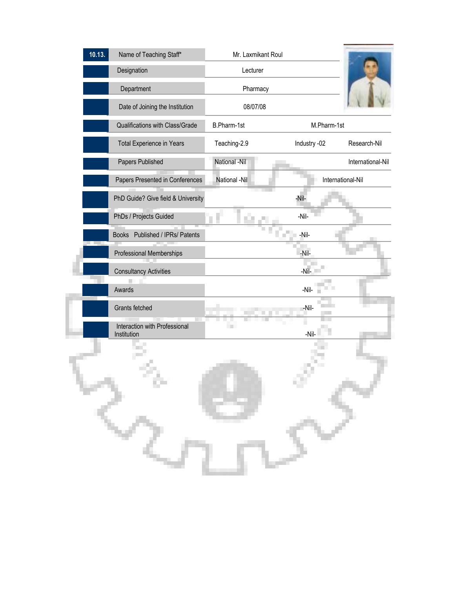| 10.13. | Name of Teaching Staff*                      | Mr. Laxmikant Roul |                   |                   |
|--------|----------------------------------------------|--------------------|-------------------|-------------------|
|        | Designation                                  | Lecturer           |                   |                   |
|        | Department                                   | Pharmacy           |                   |                   |
|        | Date of Joining the Institution              | 08/07/08           |                   |                   |
|        | Qualifications with Class/Grade              | B.Pharm-1st        | M.Pharm-1st       |                   |
|        | <b>Total Experience in Years</b>             | Teaching-2.9       | Industry -02      | Research-Nil      |
|        | Papers Published                             | National -Nil      |                   | International-Nil |
|        | Papers Presented in Conferences              | National -Nil      | International-Nil |                   |
|        | PhD Guide? Give field & University           |                    | -Nil-             |                   |
|        | PhDs / Projects Guided                       |                    | -Nil-             |                   |
|        | Books Published / IPRs/ Patents              |                    | -Nil-             |                   |
|        | Professional Memberships                     |                    | -Nil-             |                   |
|        | <b>Consultancy Activities</b>                |                    | $-N$ il-          |                   |
|        | Awards                                       |                    | -Nil-             |                   |
|        | Grants fetched                               |                    | -Nil-             |                   |
|        | Interaction with Professional<br>Institution | m.                 | -Nil-             |                   |
|        |                                              |                    |                   |                   |
|        |                                              |                    |                   |                   |
|        |                                              |                    |                   |                   |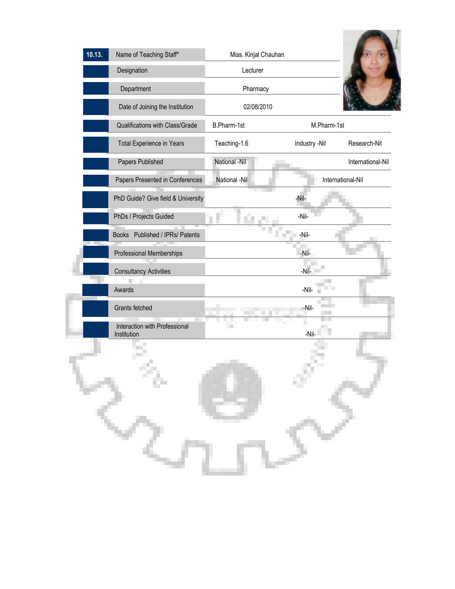| 10.13. | Name of Teaching Staff*<br>Designation<br>Department<br>Date of Joining the Institution | Miss. Kinjal Chauhan<br>Lecturer<br>Pharmacy<br>02/08/2010 |               |                   |
|--------|-----------------------------------------------------------------------------------------|------------------------------------------------------------|---------------|-------------------|
|        | Qualifications with Class/Grade                                                         | B.Pharm-1st                                                | M.Pharm-1st   |                   |
|        | Total Experience in Years                                                               | Teaching-1.6                                               | Industry -Nil | Research-Nil      |
|        | Papers Published                                                                        | National -Nil                                              |               | International-Nil |
|        | Papers Presented in Conferences                                                         | National -Nil                                              |               | International-Nil |
|        | PhD Guide? Give field & University                                                      |                                                            | -Nil-         |                   |
|        | PhDs / Projects Guided                                                                  |                                                            | -Nil-         |                   |
|        | Books Published / IPRs/ Patents                                                         |                                                            | -Nil-         |                   |
|        | Professional Memberships                                                                |                                                            | -Nil-         |                   |
|        | <b>Consultancy Activities</b>                                                           |                                                            | -Nil-         |                   |
|        | Awards                                                                                  |                                                            | -Nil-         |                   |
|        | Grants fetched                                                                          |                                                            | -Nil-         |                   |
|        | Interaction with Professional<br>Institution                                            | m.                                                         | -Nil-         |                   |
|        |                                                                                         |                                                            |               |                   |
|        |                                                                                         |                                                            |               |                   |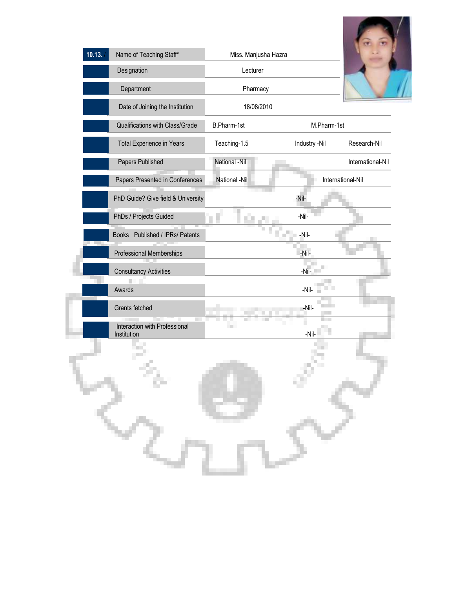

| 10.13. | Name of Teaching Staff*                      | Miss. Manjusha Hazra |               |                   |
|--------|----------------------------------------------|----------------------|---------------|-------------------|
|        | Designation                                  | Lecturer             |               |                   |
|        | Department                                   | Pharmacy             |               |                   |
|        | Date of Joining the Institution              | 18/08/2010           |               |                   |
|        | Qualifications with Class/Grade              | B.Pharm-1st          | M.Pharm-1st   |                   |
|        | Total Experience in Years                    | Teaching-1.5         | Industry -Nil | Research-Nil      |
|        | Papers Published                             | National -Nil        |               | International-Nil |
|        | Papers Presented in Conferences              | National -Nil        |               | International-Nil |
|        | PhD Guide? Give field & University           |                      | -Nil-         |                   |
|        | PhDs / Projects Guided                       |                      | -Nil-         |                   |
|        | Books Published / IPRs/ Patents              |                      | -Nil-         |                   |
|        | Professional Memberships                     |                      | -Nil-         |                   |
|        | <b>Consultancy Activities</b>                |                      | $-N$ il-      |                   |
|        | Awards                                       |                      | $-Nil-$       |                   |
|        | Grants fetched                               |                      | -Nil-         |                   |
|        | Interaction with Professional<br>Institution | $\Box$               | -Nil-         |                   |
|        |                                              |                      |               |                   |
|        | m,                                           |                      |               |                   |
|        |                                              |                      |               |                   |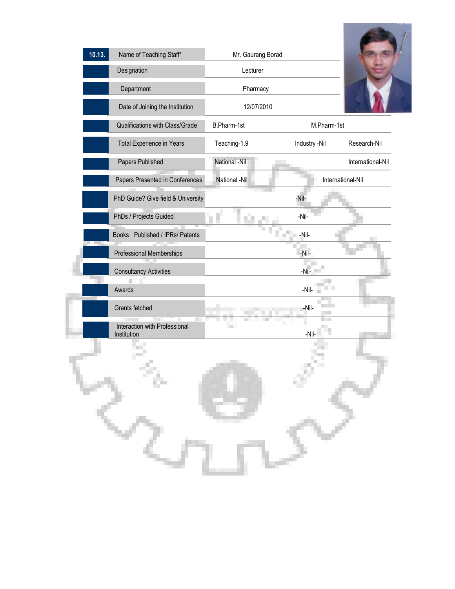| Name of Teaching Staff*<br>Designation | Mr. Gaurang Borad<br>Lecturer |               |                   |
|----------------------------------------|-------------------------------|---------------|-------------------|
| Department                             | Pharmacy                      |               |                   |
| Date of Joining the Institution        | 12/07/2010                    |               |                   |
| Qualifications with Class/Grade        | B.Pharm-1st                   | M.Pharm-1st   |                   |
| Total Experience in Years              | Teaching-1.9                  | Industry -Nil | Research-Nil      |
| Papers Published                       | National -Nil                 |               | International-Nil |
| Papers Presented in Conferences        | National -Nil                 |               | International-Nil |
| PhD Guide? Give field & University     |                               | -Nil-         |                   |
| PhDs / Projects Guided                 |                               | -Nil-         |                   |
| Books Published / IPRs/ Patents        |                               | -Nil-         |                   |
| Professional Memberships               |                               | -Nil-         |                   |
| <b>Consultancy Activities</b>          |                               | $-Ni-$        |                   |
| Awards                                 |                               | -Nil-         |                   |
| Grants fetched                         |                               | -Nil-         |                   |
| Interaction with Professional          | ш                             |               |                   |
|                                        |                               |               |                   |
| ç.                                     |                               |               |                   |
|                                        | Institution                   |               | -Nil-             |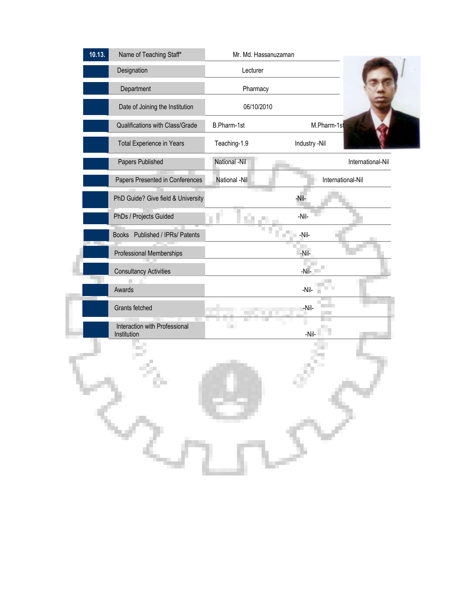| 10.13. | Name of Teaching Staff*                      | Mr. Md. Hassanuzaman |                   |                   |
|--------|----------------------------------------------|----------------------|-------------------|-------------------|
|        | Designation                                  | Lecturer             |                   |                   |
|        | Department                                   | Pharmacy             |                   |                   |
|        | Date of Joining the Institution              | 06/10/2010           |                   |                   |
|        | Qualifications with Class/Grade              | B.Pharm-1st          | M.Pharm-1st       |                   |
|        | Total Experience in Years                    | Teaching-1.9         | Industry -Nil     |                   |
|        | Papers Published                             | National -Nil        |                   | International-Nil |
|        | Papers Presented in Conferences              | National -Nil        | International-Nil |                   |
|        | PhD Guide? Give field & University           |                      | -Nil-             |                   |
|        | PhDs / Projects Guided                       |                      | -Nil-             |                   |
|        | Books Published / IPRs/ Patents              |                      | -Nil-             |                   |
|        | Professional Memberships                     |                      | -Nil-             |                   |
|        | <b>Consultancy Activities</b>                |                      | $-NiI-$           |                   |
|        | Awards                                       |                      | -Nil-             |                   |
|        | Grants fetched                               |                      | -Nil-             |                   |
|        | Interaction with Professional<br>Institution |                      | -Nil-             |                   |
|        |                                              |                      |                   |                   |
|        |                                              |                      |                   |                   |
|        |                                              |                      |                   |                   |
|        |                                              |                      |                   |                   |
|        |                                              |                      |                   |                   |
|        |                                              |                      |                   |                   |
|        |                                              |                      |                   |                   |
|        |                                              |                      |                   |                   |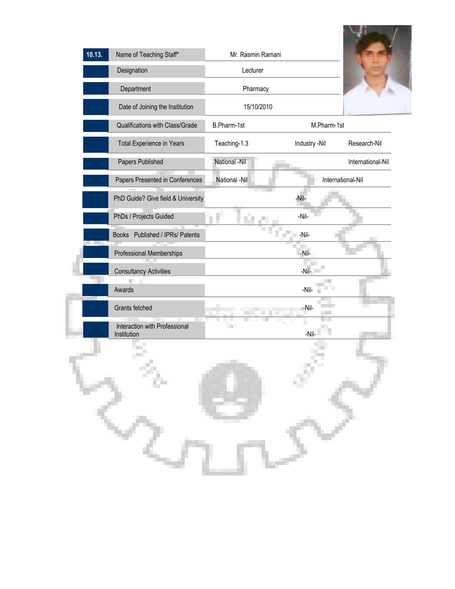| 10.13. | Name of Teaching Staff*                      | Mr. Rasmin Ramani |                   |                   |
|--------|----------------------------------------------|-------------------|-------------------|-------------------|
|        | Designation                                  | Lecturer          |                   |                   |
|        | Department                                   | Pharmacy          |                   |                   |
|        | Date of Joining the Institution              | 15/10/2010        |                   |                   |
|        | Qualifications with Class/Grade              | B.Pharm-1st       | M.Pharm-1st       |                   |
|        | Total Experience in Years                    | Teaching-1.3      | Industry -Nil     | Research-Nil      |
|        | Papers Published                             | National -Nil     |                   | International-Nil |
|        | Papers Presented in Conferences              | National -Nil     | International-Nil |                   |
|        | PhD Guide? Give field & University           |                   | -Nil-             |                   |
|        | PhDs / Projects Guided                       |                   | -Nil-             |                   |
|        | Books Published / IPRs/ Patents              |                   | $-Nil-$           |                   |
|        | Professional Memberships                     |                   | -Nil-             |                   |
|        | <b>Consultancy Activities</b>                |                   | $-Nil-$           |                   |
|        | Awards                                       |                   | -Nil-             |                   |
|        | Grants fetched                               |                   | -Nil-             |                   |
|        | Interaction with Professional<br>Institution | <b>In</b>         | -Nil-             |                   |
|        |                                              |                   |                   |                   |
|        | л                                            |                   |                   |                   |
|        |                                              |                   |                   |                   |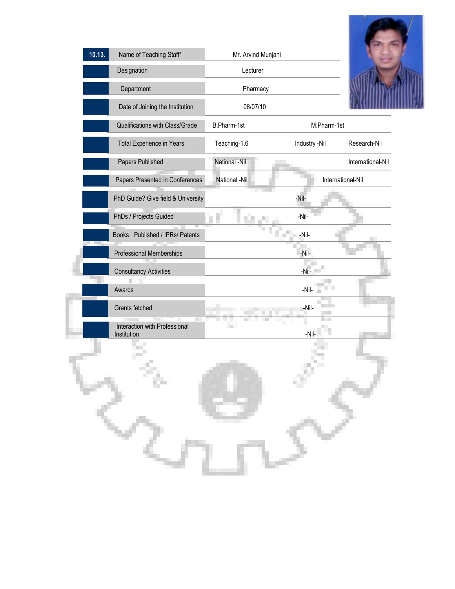| 10.13. | Name of Teaching Staff*                      | Mr. Arvind Munjani |                   |                   |
|--------|----------------------------------------------|--------------------|-------------------|-------------------|
|        | Designation                                  | Lecturer           |                   |                   |
|        | Department                                   | Pharmacy           |                   |                   |
|        | Date of Joining the Institution              | 08/07/10           |                   |                   |
|        | Qualifications with Class/Grade              | B.Pharm-1st        | M.Pharm-1st       |                   |
|        | Total Experience in Years                    | Teaching-1.6       | Industry -Nil     | Research-Nil      |
|        | Papers Published                             | National -Nil      |                   | International-Nil |
|        | Papers Presented in Conferences              | National -Nil      | International-Nil |                   |
|        | PhD Guide? Give field & University           |                    | -Nil-             |                   |
|        | PhDs / Projects Guided                       |                    | $-Nil-$           |                   |
|        | Books Published / IPRs/ Patents              |                    | -Nil-<br>П        |                   |
|        | Professional Memberships                     |                    | -Nil-             |                   |
|        | <b>Consultancy Activities</b>                |                    | $-N$ il-          |                   |
|        | Awards                                       |                    | -Nil-             |                   |
|        | Grants fetched                               |                    | -Nil-             |                   |
|        | Interaction with Professional<br>Institution | <b>TELE</b>        | -Nil-             |                   |
|        |                                              |                    |                   |                   |
|        | ٠                                            |                    |                   |                   |
|        |                                              |                    |                   |                   |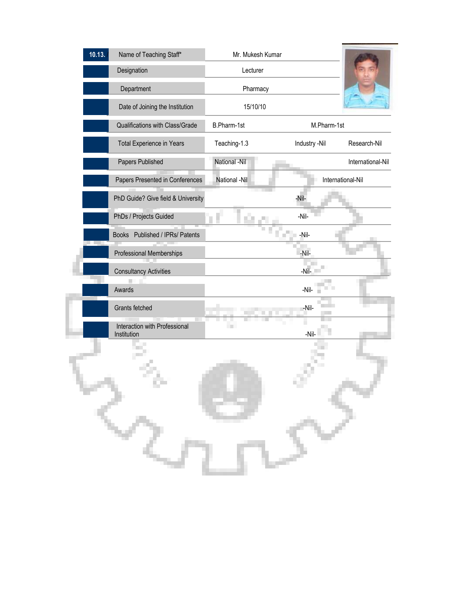| 10.13. | Name of Teaching Staff*                      | Mr. Mukesh Kumar |               |                   |
|--------|----------------------------------------------|------------------|---------------|-------------------|
|        | Designation                                  | Lecturer         |               |                   |
|        | Department                                   | Pharmacy         |               |                   |
|        | Date of Joining the Institution              | 15/10/10         |               |                   |
|        | Qualifications with Class/Grade              | B.Pharm-1st      | M.Pharm-1st   |                   |
|        | Total Experience in Years                    | Teaching-1.3     | Industry -Nil | Research-Nil      |
|        | Papers Published                             | National -Nil    |               | International-Nil |
|        | Papers Presented in Conferences              | National -Nil    |               | International-Nil |
|        | PhD Guide? Give field & University           |                  | -Nil-         |                   |
|        | PhDs / Projects Guided                       |                  | -Nil-         |                   |
|        | Books Published / IPRs/ Patents              |                  | -Nil-         |                   |
|        | Professional Memberships                     |                  | -Nil-         |                   |
|        | <b>Consultancy Activities</b>                |                  | $-NiI-$       |                   |
|        | Awards                                       |                  | -Nil-         |                   |
|        | Grants fetched                               |                  | -Nil-         |                   |
|        | Interaction with Professional<br>Institution |                  | -Nil-         |                   |
|        |                                              |                  |               |                   |
|        |                                              |                  |               |                   |
|        |                                              |                  |               |                   |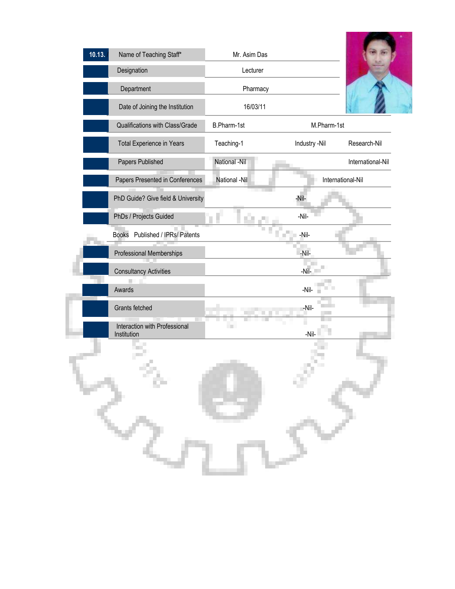| 10.13. | Name of Teaching Staff*                      | Mr. Asim Das  |                   |                   |
|--------|----------------------------------------------|---------------|-------------------|-------------------|
|        | Designation                                  | Lecturer      |                   |                   |
|        | Department                                   | Pharmacy      |                   |                   |
|        | Date of Joining the Institution              | 16/03/11      |                   |                   |
|        | Qualifications with Class/Grade              | B.Pharm-1st   | M.Pharm-1st       |                   |
|        | Total Experience in Years                    | Teaching-1    | Industry -Nil     | Research-Nil      |
|        | Papers Published                             | National -Nil |                   | International-Nil |
|        | Papers Presented in Conferences              | National -Nil | International-Nil |                   |
|        | PhD Guide? Give field & University           |               | -Nil-             |                   |
|        | PhDs / Projects Guided                       |               | -Nil-             |                   |
|        | Books Published / IPRs/ Patents              |               | -Nil-             |                   |
|        | Professional Memberships                     |               | -Nil-             |                   |
|        | <b>Consultancy Activities</b>                |               | $-N$ il- $-$      |                   |
|        | Awards                                       |               | $-Nil-$           |                   |
|        | Grants fetched                               |               | -Nil-             |                   |
|        | Interaction with Professional<br>Institution | ×             | -Nil-             |                   |
|        |                                              |               |                   |                   |
|        |                                              |               |                   |                   |
|        | ò.                                           |               |                   |                   |
|        |                                              |               |                   |                   |
|        |                                              |               |                   |                   |
|        |                                              |               |                   |                   |
|        |                                              |               |                   |                   |
|        |                                              |               |                   |                   |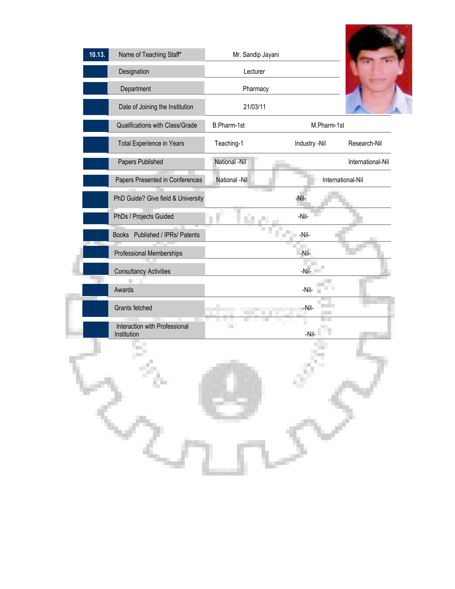| 10.13. | Name of Teaching Staff*                      | Mr. Sandip Jayani        |               |                   |
|--------|----------------------------------------------|--------------------------|---------------|-------------------|
|        | Designation                                  | Lecturer                 |               |                   |
|        | Department                                   | Pharmacy                 |               |                   |
|        | Date of Joining the Institution              | 21/03/11                 |               |                   |
|        | Qualifications with Class/Grade              | B.Pharm-1st              | M.Pharm-1st   |                   |
|        | Total Experience in Years                    | Teaching-1               | Industry -Nil | Research-Nil      |
|        | Papers Published                             | National -Nil            |               | International-Nil |
|        | Papers Presented in Conferences              | National -Nil            |               | International-Nil |
|        | PhD Guide? Give field & University           |                          | -Nil-         |                   |
|        | PhDs / Projects Guided                       |                          | -Nil-         |                   |
|        | Books Published / IPRs/ Patents              |                          | -Nil-<br>П    |                   |
|        | Professional Memberships                     |                          | -Nil-         |                   |
|        | <b>Consultancy Activities</b>                |                          | $-NiI-$       |                   |
|        | Awards                                       |                          | $-Nil-$       |                   |
|        | Grants fetched                               |                          | -Nil-         |                   |
|        | Interaction with Professional<br>Institution | $\overline{\phantom{a}}$ | -Nil-         |                   |
|        |                                              |                          |               |                   |
|        |                                              |                          |               |                   |
|        |                                              |                          |               |                   |

**COLLEGE**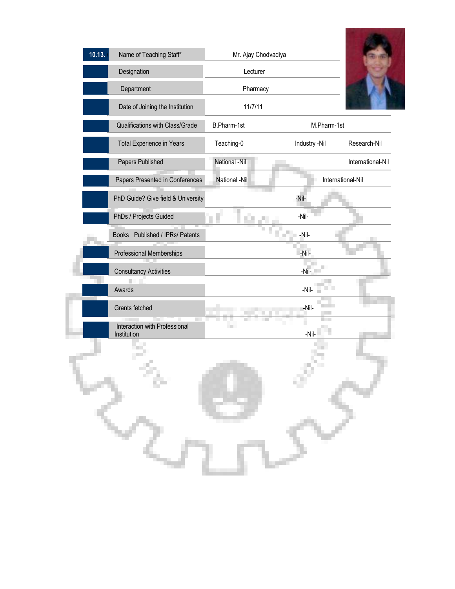| 10.13. | Name of Teaching Staff*                      | Mr. Ajay Chodvadiya |               |                   |
|--------|----------------------------------------------|---------------------|---------------|-------------------|
|        | Designation                                  | Lecturer            |               |                   |
|        | Department                                   | Pharmacy            |               |                   |
|        | Date of Joining the Institution              | 11/7/11             |               |                   |
|        | Qualifications with Class/Grade              | B.Pharm-1st         | M.Pharm-1st   |                   |
|        | Total Experience in Years                    | Teaching-0          | Industry -Nil | Research-Nil      |
|        | Papers Published                             | National -Nil       |               | International-Nil |
|        | Papers Presented in Conferences              | National -Nil       |               | International-Nil |
|        | PhD Guide? Give field & University           |                     | -Nil-         |                   |
|        | PhDs / Projects Guided                       |                     | $-Nil-$       |                   |
|        | Books Published / IPRs/ Patents              |                     | -Nil-         |                   |
|        | Professional Memberships                     |                     | -Nil-         |                   |
|        | <b>Consultancy Activities</b>                |                     | $-N$ il-      |                   |
|        | Awards                                       |                     | -Nil-         |                   |
|        | Grants fetched                               |                     | -Nil-         |                   |
|        | Interaction with Professional<br>Institution | m                   | -Nil-         |                   |
|        |                                              |                     |               |                   |
|        |                                              |                     |               |                   |
|        |                                              |                     |               |                   |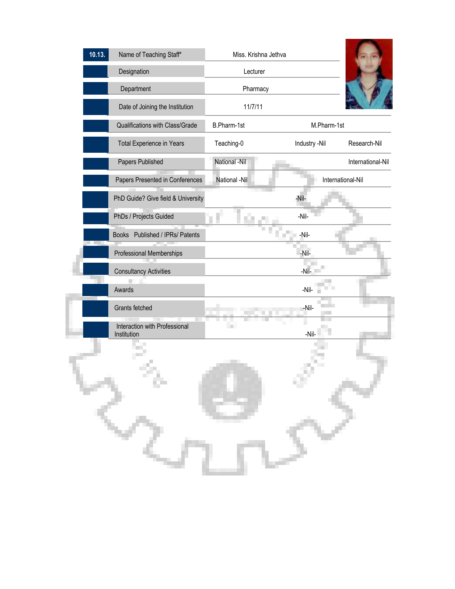| 10.13.      | Name of Teaching Staff*            | Miss. Krishna Jethva |                   |                   |
|-------------|------------------------------------|----------------------|-------------------|-------------------|
|             | Designation                        | Lecturer             |                   |                   |
|             | Department                         | Pharmacy             |                   |                   |
|             | Date of Joining the Institution    | 11/7/11              |                   |                   |
|             | Qualifications with Class/Grade    | B.Pharm-1st          | M.Pharm-1st       |                   |
|             | Total Experience in Years          | Teaching-0           | Industry -Nil     | Research-Nil      |
|             | Papers Published                   | National -Nil        |                   | International-Nil |
|             | Papers Presented in Conferences    | National -Nil        | International-Nil |                   |
|             | PhD Guide? Give field & University |                      | -Nil-             |                   |
|             | PhDs / Projects Guided             | оù,                  | -Nil-             |                   |
|             | Books Published / IPRs/ Patents    |                      | -Nil-             |                   |
|             | Professional Memberships           |                      | -Nil-             |                   |
|             | <b>Consultancy Activities</b>      |                      | $-N$ il- $-$      |                   |
| Awards      |                                    |                      | -Nil-             |                   |
|             | Grants fetched                     |                      | -Nil-             |                   |
|             | Interaction with Professional      |                      |                   |                   |
| Institution |                                    |                      | -Nil-             |                   |
|             |                                    |                      |                   |                   |
|             | o,                                 |                      |                   |                   |
|             |                                    |                      |                   |                   |
|             |                                    |                      |                   |                   |
|             |                                    |                      |                   |                   |
|             |                                    |                      |                   |                   |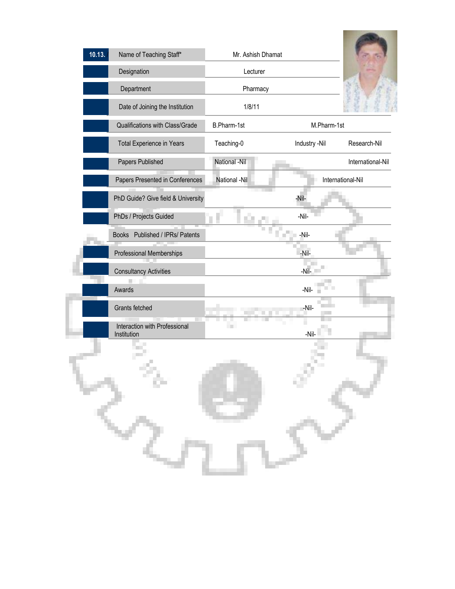| 10.13.<br>Name of Teaching Staff*            | Mr. Ashish Dhamat |               |                   |
|----------------------------------------------|-------------------|---------------|-------------------|
| Designation                                  | Lecturer          |               |                   |
| Department                                   | Pharmacy          |               |                   |
| Date of Joining the Institution              | 1/8/11            |               |                   |
| Qualifications with Class/Grade              | B.Pharm-1st       | M.Pharm-1st   |                   |
| Total Experience in Years                    | Teaching-0        | Industry -Nil | Research-Nil      |
| Papers Published                             | National -Nil     |               | International-Nil |
| Papers Presented in Conferences              | National -Nil     |               | International-Nil |
| PhD Guide? Give field & University           |                   | -Nil-         |                   |
| PhDs / Projects Guided                       |                   | -Nil-         |                   |
| Books Published / IPRs/ Patents              |                   | $-Nil-$<br>п  |                   |
| Professional Memberships                     |                   | -Nil-         |                   |
| <b>Consultancy Activities</b>                |                   | $-Nil-$       |                   |
| Awards                                       |                   | -Nil-         |                   |
| Grants fetched                               |                   | -Nil-         |                   |
| Interaction with Professional<br>Institution | $\blacksquare$    | -Nil-         |                   |
|                                              |                   |               |                   |
|                                              |                   |               |                   |
| ò.                                           |                   |               |                   |
|                                              |                   |               |                   |
|                                              |                   |               |                   |
|                                              |                   |               |                   |
|                                              |                   |               |                   |

**Second Contract Contract Contract Contract Contract Contract**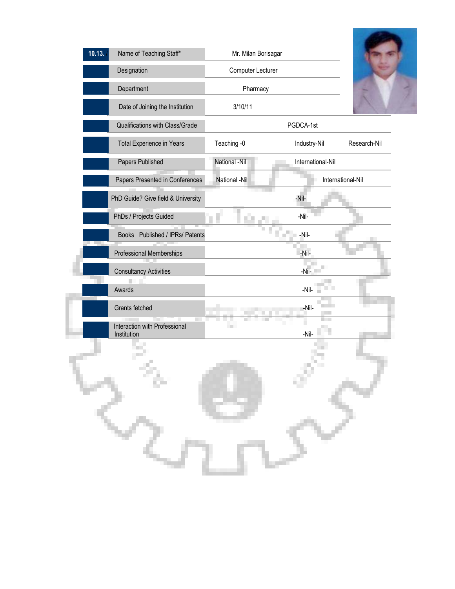| 10.13. | Name of Teaching Staff*                      | Mr. Milan Borisagar |                   |              |  |
|--------|----------------------------------------------|---------------------|-------------------|--------------|--|
|        | Designation                                  | Computer Lecturer   |                   |              |  |
|        | Department                                   | Pharmacy            |                   |              |  |
|        | Date of Joining the Institution              | 3/10/11             |                   |              |  |
|        | Qualifications with Class/Grade              |                     | PGDCA-1st         |              |  |
|        | Total Experience in Years                    | Teaching -0         | Industry-Nil      | Research-Nil |  |
|        | Papers Published                             | National -Nil       | International-Nil |              |  |
|        | Papers Presented in Conferences              | National -Nil       | International-Nil |              |  |
|        | PhD Guide? Give field & University           |                     | -Nil-             |              |  |
|        | PhDs / Projects Guided                       | п                   | -Nil-             |              |  |
|        | Books Published / IPRs/ Patents              |                     | -Nil-<br>п        |              |  |
|        | Professional Memberships                     |                     | -Nil-             |              |  |
|        | <b>Consultancy Activities</b>                |                     | $-N$ il-          |              |  |
|        | Awards                                       |                     | $-Nil-$           |              |  |
|        | Grants fetched                               |                     | -Nil-             |              |  |
|        | Interaction with Professional<br>Institution |                     | -Nil-             |              |  |
|        |                                              |                     |                   |              |  |
|        |                                              |                     |                   |              |  |
|        | ö.                                           |                     |                   |              |  |
|        |                                              |                     |                   |              |  |
|        |                                              |                     |                   |              |  |
|        |                                              |                     |                   |              |  |
|        |                                              |                     |                   |              |  |
|        |                                              |                     |                   |              |  |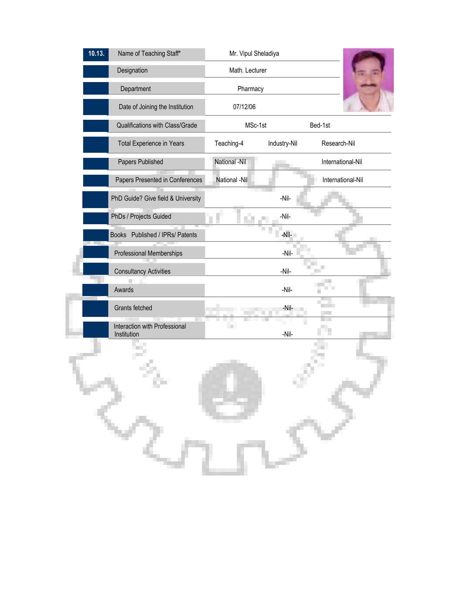| 10.13.<br>Name of Teaching Staff*            | Mr. Vipul Sheladiya |              |                    |
|----------------------------------------------|---------------------|--------------|--------------------|
| Designation                                  | Math. Lecturer      |              |                    |
| Department                                   | Pharmacy            |              |                    |
| Date of Joining the Institution              | 07/12/06            |              |                    |
| Qualifications with Class/Grade              | MSc-1st             |              | Bed-1st            |
| Total Experience in Years                    | Teaching-4          | Industry-Nil | Research-Nil       |
| Papers Published                             | National -Nil       |              | International-Nil  |
| Papers Presented in Conferences              | National -Nil       |              | International-Nil  |
| PhD Guide? Give field & University           |                     | -Nil-        |                    |
| PhDs / Projects Guided                       | ×                   | -Nil-        |                    |
| Books Published / IPRs/ Patents              |                     | -Nil-        |                    |
| Professional Memberships                     |                     | -Nil-        |                    |
| <b>Consultancy Activities</b>                |                     | $-Nil-$      |                    |
| Awards                                       |                     | -Nil-        | <b>The Company</b> |
| Grants fetched                               |                     | -Nil-        |                    |
| Interaction with Professional<br>Institution | <b>In</b>           | -Nil-        |                    |
|                                              |                     |              |                    |
|                                              |                     |              |                    |
|                                              |                     |              |                    |
|                                              |                     |              |                    |
|                                              |                     |              |                    |
|                                              |                     |              |                    |
|                                              |                     |              |                    |
|                                              |                     |              |                    |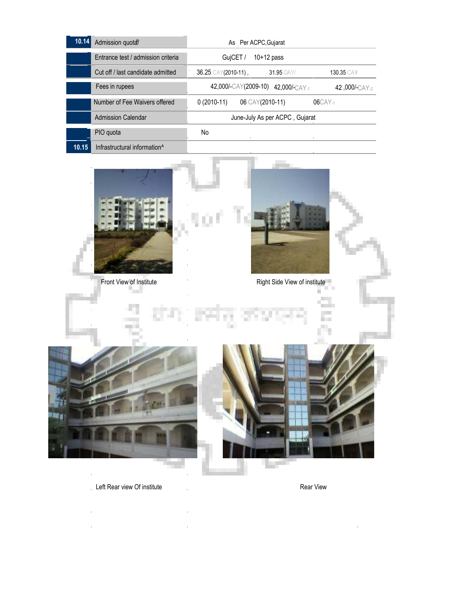| 10.14 | Admission quotal                         | As Per ACPC, Gujarat  |                 |                                    |                   |
|-------|------------------------------------------|-----------------------|-----------------|------------------------------------|-------------------|
|       | Entrance test / admission criteria       | GujCET /              |                 | $10+12$ pass                       |                   |
|       | Cut off / last candidate admitted        | $36.25$ CAY(2010-11), |                 | <b>31.95 GAY/</b>                  | <b>130.35 CAY</b> |
|       | Fees in rupees                           |                       |                 | 42,000/-CAY(2009-10) 42,000/-CAY-1 | 42,000/-CAY-2     |
|       | Number of Fee Waivers offered            | $0(2010-11)$          | 06 CAY(2010-11) |                                    | 06CAY-1           |
|       | <b>Admission Calendar</b>                |                       |                 | June-July As per ACPC, Gujarat     |                   |
|       | PIO quota                                | No                    |                 |                                    |                   |
| 10.15 | Infrastructural information <sup>^</sup> |                       |                 |                                    |                   |

Ī

L

×

w



Front View of Institute **Right Side View of institute** Right Side View of institute

a in pro





Left Rear view Of institute **Rear View** Rear View

l,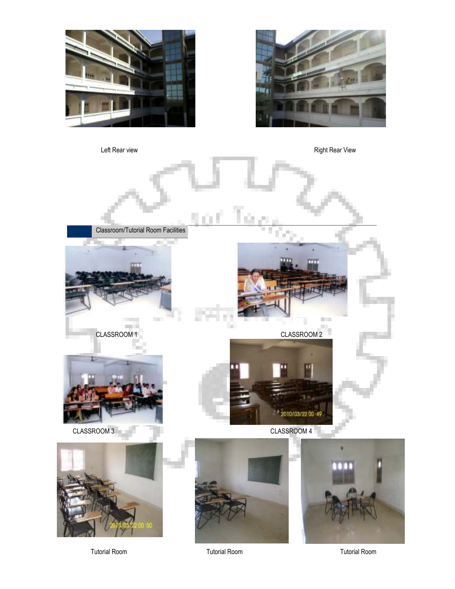





Tutorial Room Tutorial Room Tutorial Room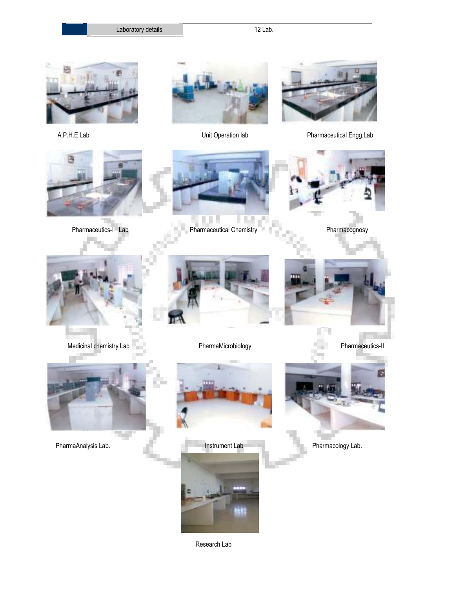Laboratory details 12 Lab.

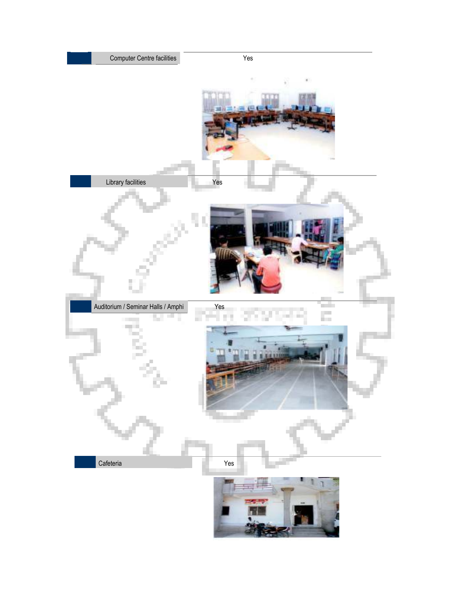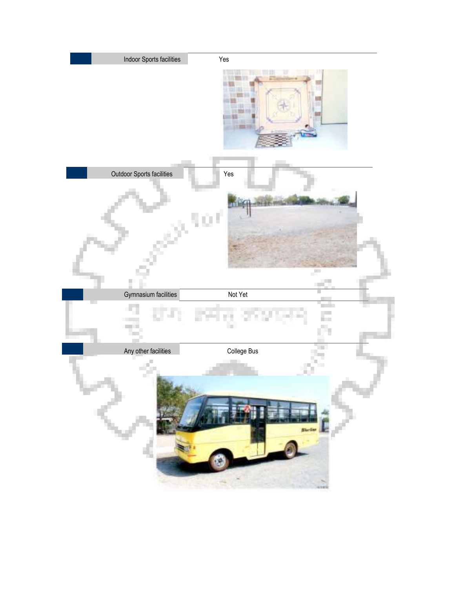